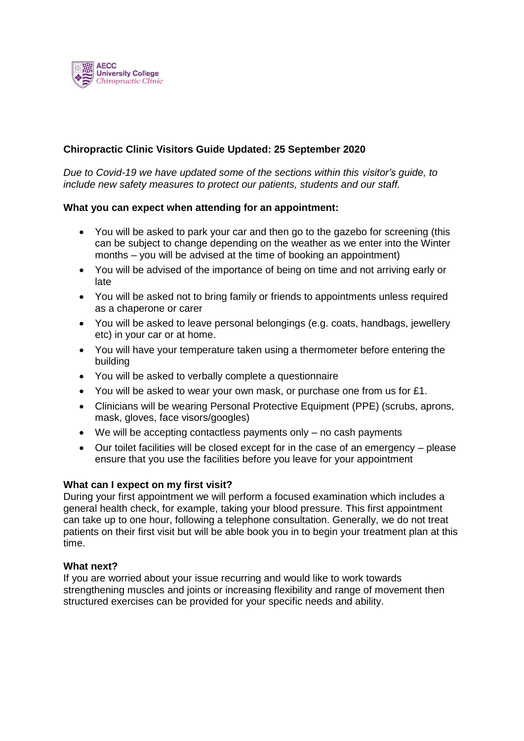

# **Chiropractic Clinic Visitors Guide Updated: 25 September 2020**

*Due to Covid-19 we have updated some of the sections within this visitor's guide, to include new safety measures to protect our patients, students and our staff.* 

## **What you can expect when attending for an appointment:**

- You will be asked to park your car and then go to the gazebo for screening (this can be subject to change depending on the weather as we enter into the Winter months – you will be advised at the time of booking an appointment)
- You will be advised of the importance of being on time and not arriving early or late
- You will be asked not to bring family or friends to appointments unless required as a chaperone or carer
- You will be asked to leave personal belongings (e.g. coats, handbags, jewellery etc) in your car or at home.
- You will have your temperature taken using a thermometer before entering the building
- You will be asked to verbally complete a questionnaire
- You will be asked to wear your own mask, or purchase one from us for £1.
- Clinicians will be wearing Personal Protective Equipment (PPE) (scrubs, aprons, mask, gloves, face visors/googles)
- We will be accepting contactless payments only no cash payments
- Our toilet facilities will be closed except for in the case of an emergency please ensure that you use the facilities before you leave for your appointment

#### **What can I expect on my first visit?**

During your first appointment we will perform a focused examination which includes a general health check, for example, taking your blood pressure. This first appointment can take up to one hour, following a telephone consultation. Generally, we do not treat patients on their first visit but will be able book you in to begin your treatment plan at this time.

#### **What next?**

If you are worried about your issue recurring and would like to work towards strengthening muscles and joints or increasing flexibility and range of movement then structured exercises can be provided for your specific needs and ability.